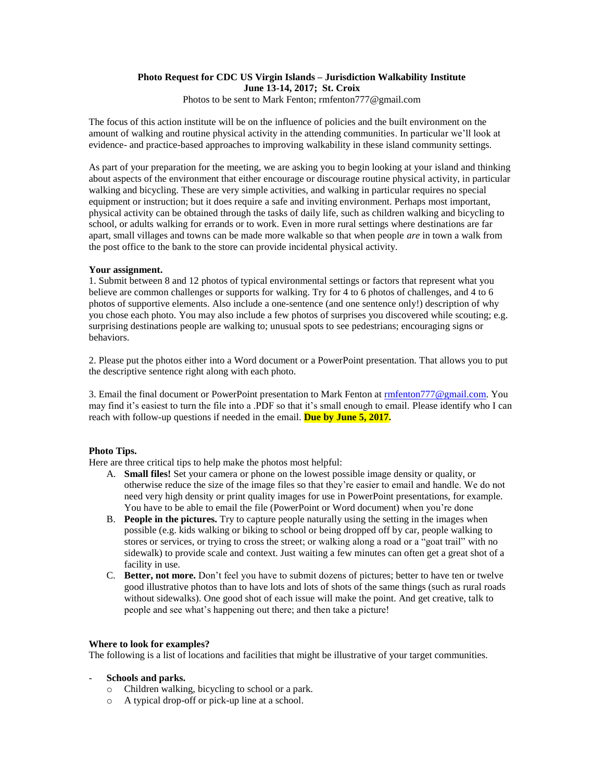#### **Photo Request for CDC US Virgin Islands – Jurisdiction Walkability Institute June 13-14, 2017; St. Croix** Photos to be sent to Mark Fenton; rmfenton777@gmail.com

The focus of this action institute will be on the influence of policies and the built environment on the amount of walking and routine physical activity in the attending communities. In particular we'll look at evidence- and practice-based approaches to improving walkability in these island community settings.

As part of your preparation for the meeting, we are asking you to begin looking at your island and thinking about aspects of the environment that either encourage or discourage routine physical activity, in particular walking and bicycling. These are very simple activities, and walking in particular requires no special equipment or instruction; but it does require a safe and inviting environment. Perhaps most important, physical activity can be obtained through the tasks of daily life, such as children walking and bicycling to school, or adults walking for errands or to work. Even in more rural settings where destinations are far apart, small villages and towns can be made more walkable so that when people *are* in town a walk from the post office to the bank to the store can provide incidental physical activity.

### **Your assignment.**

1. Submit between 8 and 12 photos of typical environmental settings or factors that represent what you believe are common challenges or supports for walking. Try for 4 to 6 photos of challenges, and 4 to 6 photos of supportive elements. Also include a one-sentence (and one sentence only!) description of why you chose each photo. You may also include a few photos of surprises you discovered while scouting; e.g. surprising destinations people are walking to; unusual spots to see pedestrians; encouraging signs or behaviors.

2. Please put the photos either into a Word document or a PowerPoint presentation. That allows you to put the descriptive sentence right along with each photo.

3. Email the final document or PowerPoint presentation to Mark Fenton a[t rmfenton777@gmail.com.](mailto:rmfenton777@gmail.com) You may find it's easiest to turn the file into a .PDF so that it's small enough to email. Please identify who I can reach with follow-up questions if needed in the email. **Due by June 5, 2017.**

# **Photo Tips.**

Here are three critical tips to help make the photos most helpful:

- A. **Small files!** Set your camera or phone on the lowest possible image density or quality, or otherwise reduce the size of the image files so that they're easier to email and handle. We do not need very high density or print quality images for use in PowerPoint presentations, for example. You have to be able to email the file (PowerPoint or Word document) when you're done
- B. **People in the pictures.** Try to capture people naturally using the setting in the images when possible (e.g. kids walking or biking to school or being dropped off by car, people walking to stores or services, or trying to cross the street; or walking along a road or a "goat trail" with no sidewalk) to provide scale and context. Just waiting a few minutes can often get a great shot of a facility in use.
- C. **Better, not more.** Don't feel you have to submit dozens of pictures; better to have ten or twelve good illustrative photos than to have lots and lots of shots of the same things (such as rural roads without sidewalks). One good shot of each issue will make the point. And get creative, talk to people and see what's happening out there; and then take a picture!

#### **Where to look for examples?**

The following is a list of locations and facilities that might be illustrative of your target communities.

# - **Schools and parks.**

- o Children walking, bicycling to school or a park.
- o A typical drop-off or pick-up line at a school.